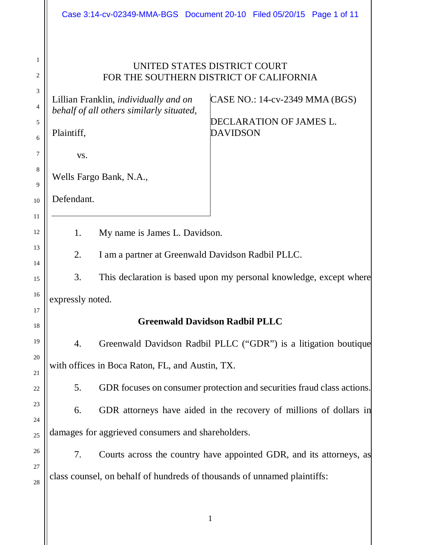|                                      | Case 3:14-cv-02349-MMA-BGS Document 20-10 Filed 05/20/15 Page 1 of 11                                                                                                                                                                                                                               |  |  |
|--------------------------------------|-----------------------------------------------------------------------------------------------------------------------------------------------------------------------------------------------------------------------------------------------------------------------------------------------------|--|--|
| 1<br>2<br>3<br>4<br>5<br>6<br>7<br>8 | UNITED STATES DISTRICT COURT<br>FOR THE SOUTHERN DISTRICT OF CALIFORNIA<br>CASE NO.: 14-cv-2349 MMA (BGS)<br>Lillian Franklin, <i>individually and on</i><br>behalf of all others similarly situated,<br>DECLARATION OF JAMES L.<br><b>DAVIDSON</b><br>Plaintiff,<br>VS.<br>Wells Fargo Bank, N.A., |  |  |
| 9<br>10                              | Defendant.                                                                                                                                                                                                                                                                                          |  |  |
| 11                                   |                                                                                                                                                                                                                                                                                                     |  |  |
| 12                                   | My name is James L. Davidson.<br>1.                                                                                                                                                                                                                                                                 |  |  |
| 13<br>14                             | 2.<br>I am a partner at Greenwald Davidson Radbil PLLC.                                                                                                                                                                                                                                             |  |  |
| 15                                   | 3.<br>This declaration is based upon my personal knowledge, except where                                                                                                                                                                                                                            |  |  |
| 16<br>17                             | expressly noted.                                                                                                                                                                                                                                                                                    |  |  |
| 18                                   | <b>Greenwald Davidson Radbil PLLC</b>                                                                                                                                                                                                                                                               |  |  |
| 19                                   | Greenwald Davidson Radbil PLLC ("GDR") is a litigation boutique<br>4.                                                                                                                                                                                                                               |  |  |
| 20<br>21                             | with offices in Boca Raton, FL, and Austin, TX.                                                                                                                                                                                                                                                     |  |  |
| 22                                   | GDR focuses on consumer protection and securities fraud class actions.<br>5.                                                                                                                                                                                                                        |  |  |
| 23                                   | GDR attorneys have aided in the recovery of millions of dollars in<br>6.                                                                                                                                                                                                                            |  |  |
| 24<br>25                             | damages for aggrieved consumers and shareholders.                                                                                                                                                                                                                                                   |  |  |
| 26                                   | 7.<br>Courts across the country have appointed GDR, and its attorneys, as                                                                                                                                                                                                                           |  |  |
| 27<br>28                             | class counsel, on behalf of hundreds of thousands of unnamed plaintiffs:                                                                                                                                                                                                                            |  |  |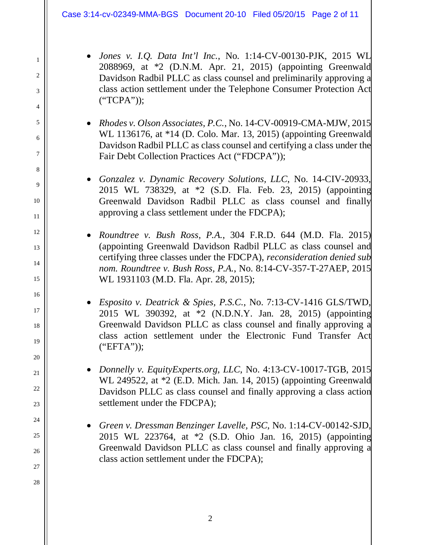1

2

3

4

5

6

7

8

9

10

11

12

13

14

15

16

17

18

19

20

21

22

23

24

25

26

27

- *Jones v. I.Q. Data Int'l Inc.*, No. 1:14-CV-00130-PJK, 2015 WL 2088969, at \*2 (D.N.M. Apr. 21, 2015) (appointing Greenwald Davidson Radbil PLLC as class counsel and preliminarily approving a class action settlement under the Telephone Consumer Protection Act ("TCPA"));
- *Rhodes v. Olson Associates, P.C.*, No. 14-CV-00919-CMA-MJW, 2015 WL 1136176, at \*14 (D. Colo. Mar. 13, 2015) (appointing Greenwald Davidson Radbil PLLC as class counsel and certifying a class under the Fair Debt Collection Practices Act ("FDCPA"));
- *Gonzalez v. Dynamic Recovery Solutions, LLC*, No. 14-CIV-20933, 2015 WL 738329, at \*2 (S.D. Fla. Feb. 23, 2015) (appointing Greenwald Davidson Radbil PLLC as class counsel and finally approving a class settlement under the FDCPA);
- *Roundtree v. Bush Ross, P.A.*, 304 F.R.D. 644 (M.D. Fla. 2015) (appointing Greenwald Davidson Radbil PLLC as class counsel and certifying three classes under the FDCPA), *reconsideration denied sub nom. Roundtree v. Bush Ross, P.A.*, No. 8:14-CV-357-T-27AEP, 2015 WL 1931103 (M.D. Fla. Apr. 28, 2015);
- *Esposito v. Deatrick & Spies, P.S.C.*, No. 7:13-CV-1416 GLS/TWD, 2015 WL 390392, at \*2 (N.D.N.Y. Jan. 28, 2015) (appointing Greenwald Davidson PLLC as class counsel and finally approving a class action settlement under the Electronic Fund Transfer Act ("EFTA"));
- *Donnelly v. EquityExperts.org, LLC*, No. 4:13-CV-10017-TGB, 2015 WL 249522, at \*2 (E.D. Mich. Jan. 14, 2015) (appointing Greenwald Davidson PLLC as class counsel and finally approving a class action settlement under the FDCPA);
- *Green v. Dressman Benzinger Lavelle, PSC*, No. 1:14-CV-00142-SJD, 2015 WL 223764, at \*2 (S.D. Ohio Jan. 16, 2015) (appointing Greenwald Davidson PLLC as class counsel and finally approving a class action settlement under the FDCPA);
	- 2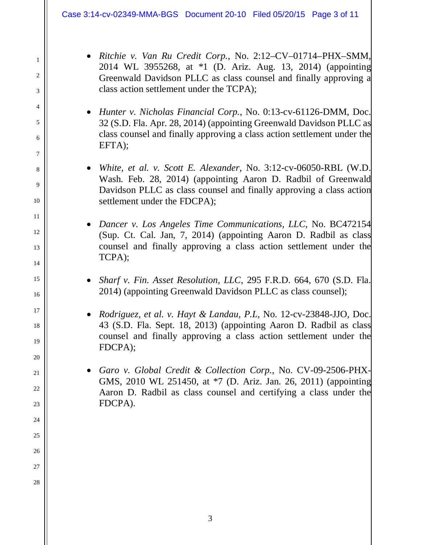1

2

3

4

5

6

7

8

9

10

11

12

13

14

15

16

17

18

19

20

21

22

23

24

25

26

27

28

- *Ritchie v. Van Ru Credit Corp.*, No. 2:12–CV–01714–PHX–SMM, 2014 WL 3955268, at \*1 (D. Ariz. Aug. 13, 2014) (appointing Greenwald Davidson PLLC as class counsel and finally approving a class action settlement under the TCPA);
- *Hunter v. Nicholas Financial Corp.*, No. 0:13-cv-61126-DMM, Doc. 32 (S.D. Fla. Apr. 28, 2014) (appointing Greenwald Davidson PLLC as class counsel and finally approving a class action settlement under the EFTA);
- *White, et al. v. Scott E. Alexander*, No. 3:12-cv-06050-RBL (W.D. Wash. Feb. 28, 2014) (appointing Aaron D. Radbil of Greenwald Davidson PLLC as class counsel and finally approving a class action settlement under the FDCPA);
- *Dancer v. Los Angeles Time Communications, LLC*, No. BC472154 (Sup. Ct. Cal. Jan, 7, 2014) (appointing Aaron D. Radbil as class counsel and finally approving a class action settlement under the TCPA);
- *Sharf v. Fin. Asset Resolution, LLC*, 295 F.R.D. 664, 670 (S.D. Fla. 2014) (appointing Greenwald Davidson PLLC as class counsel);
- *Rodriguez, et al. v. Hayt & Landau, P.L*, No. 12-cv-23848-JJO, Doc. 43 (S.D. Fla. Sept. 18, 2013) (appointing Aaron D. Radbil as class counsel and finally approving a class action settlement under the FDCPA);
- *Garo v. Global Credit & Collection Corp.*, No. CV-09-2506-PHX-GMS, 2010 WL 251450, at \*7 (D. Ariz. Jan. 26, 2011) (appointing Aaron D. Radbil as class counsel and certifying a class under the FDCPA).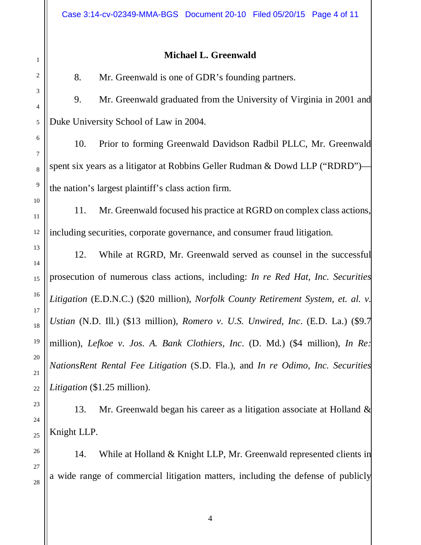## **Michael L. Greenwald**

8. Mr. Greenwald is one of GDR's founding partners.

9. Mr. Greenwald graduated from the University of Virginia in 2001 and Duke University School of Law in 2004.

10. Prior to forming Greenwald Davidson Radbil PLLC, Mr. Greenwald spent six years as a litigator at Robbins Geller Rudman & Dowd LLP ("RDRD") the nation's largest plaintiff's class action firm.

11. Mr. Greenwald focused his practice at RGRD on complex class actions, including securities, corporate governance, and consumer fraud litigation.

12. While at RGRD, Mr. Greenwald served as counsel in the successful prosecution of numerous class actions, including: *In re Red Hat, Inc. Securities Litigation* (E.D.N.C.) (\$20 million), *Norfolk County Retirement System, et. al. v. Ustian* (N.D. Ill.) (\$13 million), *Romero v. U.S. Unwired, Inc*. (E.D. La.) (\$9.7 million), *Lefkoe v. Jos. A. Bank Clothiers, Inc*. (D. Md.) (\$4 million), *In Re: NationsRent Rental Fee Litigation* (S.D. Fla.), and *In re Odimo, Inc. Securities Litigation* (\$1.25 million).

13. Mr. Greenwald began his career as a litigation associate at Holland & Knight LLP.

14. While at Holland & Knight LLP, Mr. Greenwald represented clients in a wide range of commercial litigation matters, including the defense of publicly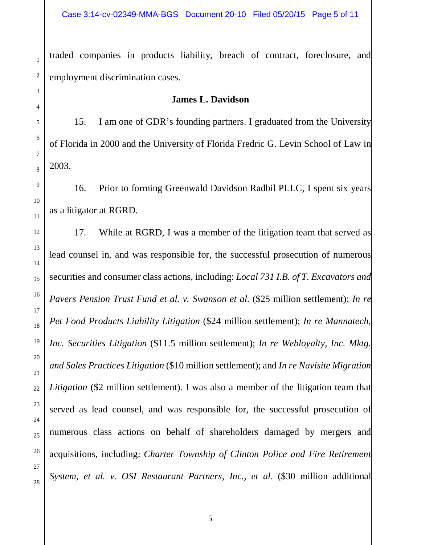traded companies in products liability, breach of contract, foreclosure, and employment discrimination cases.

## **James L. Davidson**

15. I am one of GDR's founding partners. I graduated from the University of Florida in 2000 and the University of Florida Fredric G. Levin School of Law in 2003.

16. Prior to forming Greenwald Davidson Radbil PLLC, I spent six years as a litigator at RGRD.

17. While at RGRD, I was a member of the litigation team that served as lead counsel in, and was responsible for, the successful prosecution of numerous securities and consumer class actions, including: *Local 731 I.B. of T. Excavators and Pavers Pension Trust Fund et al. v. Swanson et al*. (\$25 million settlement); *In re Pet Food Products Liability Litigation* (\$24 million settlement); *In re Mannatech, Inc. Securities Litigation* (\$11.5 million settlement); *In re Webloyalty, Inc. Mktg. and Sales Practices Litigation* (\$10 million settlement); and *In re Navisite Migration Litigation* (\$2 million settlement). I was also a member of the litigation team that served as lead counsel, and was responsible for, the successful prosecution of numerous class actions on behalf of shareholders damaged by mergers and acquisitions, including: *Charter Township of Clinton Police and Fire Retirement System, et al. v. OSI Restaurant Partners, Inc., et al*. (\$30 million additional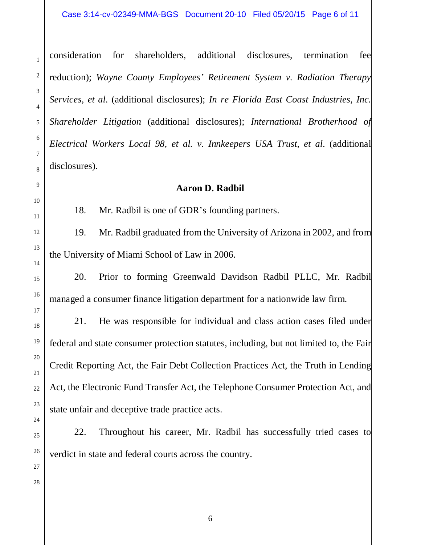consideration for shareholders, additional disclosures, termination fee reduction); *Wayne County Employees' Retirement System v. Radiation Therapy Services, et al*. (additional disclosures); *In re Florida East Coast Industries, Inc. Shareholder Litigation* (additional disclosures); *International Brotherhood of Electrical Workers Local 98, et al. v. Innkeepers USA Trust, et al*. (additional disclosures).

## **Aaron D. Radbil**

18. Mr. Radbil is one of GDR's founding partners.

19. Mr. Radbil graduated from the University of Arizona in 2002, and from the University of Miami School of Law in 2006.

20. Prior to forming Greenwald Davidson Radbil PLLC, Mr. Radbil managed a consumer finance litigation department for a nationwide law firm.

21. He was responsible for individual and class action cases filed under federal and state consumer protection statutes, including, but not limited to, the Fair Credit Reporting Act, the Fair Debt Collection Practices Act, the Truth in Lending Act, the Electronic Fund Transfer Act, the Telephone Consumer Protection Act, and state unfair and deceptive trade practice acts.

22. Throughout his career, Mr. Radbil has successfully tried cases to verdict in state and federal courts across the country.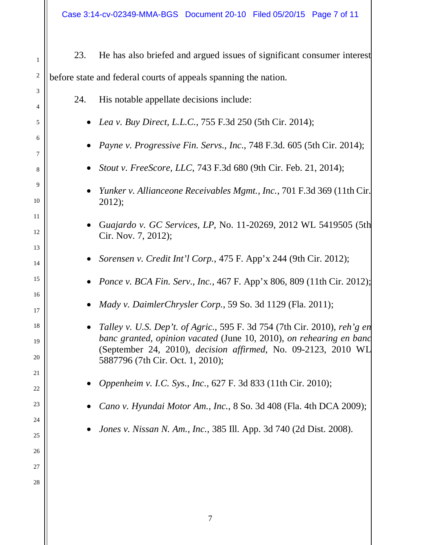| $\mathbf{1}$         | 23.                                                             | He has also briefed and argued issues of significant consumer interest                                                                          |  |
|----------------------|-----------------------------------------------------------------|-------------------------------------------------------------------------------------------------------------------------------------------------|--|
| $\overline{c}$       | before state and federal courts of appeals spanning the nation. |                                                                                                                                                 |  |
| 3                    | 24.                                                             | His notable appellate decisions include:                                                                                                        |  |
| 4<br>5               |                                                                 | Lea v. Buy Direct, L.L.C., 755 F.3d 250 (5th Cir. 2014);                                                                                        |  |
| 6<br>7               |                                                                 | Payne v. Progressive Fin. Servs., Inc., 748 F.3d. 605 (5th Cir. 2014);                                                                          |  |
| 8                    |                                                                 | Stout v. FreeScore, LLC, 743 F.3d 680 (9th Cir. Feb. 21, 2014);                                                                                 |  |
| $\overline{9}$<br>10 |                                                                 | Yunker v. Allianceone Receivables Mgmt., Inc., 701 F.3d 369 (11th Cir.<br>2012);                                                                |  |
| 11<br>12             |                                                                 | Guajardo v. GC Services, LP, No. 11-20269, 2012 WL 5419505 (5th<br>Cir. Nov. 7, 2012);                                                          |  |
| 13<br>14             |                                                                 | Sorensen v. Credit Int'l Corp., 475 F. App'x 244 (9th Cir. 2012);                                                                               |  |
| 15                   |                                                                 | Ponce v. BCA Fin. Serv., Inc., 467 F. App'x 806, 809 (11th Cir. 2012);                                                                          |  |
| 16<br>17             |                                                                 | Mady v. DaimlerChrysler Corp., 59 So. 3d 1129 (Fla. 2011);                                                                                      |  |
| 18<br>19             |                                                                 | Talley v. U.S. Dep't. of Agric., 595 F. 3d 754 (7th Cir. 2010), reh'g en<br>banc granted, opinion vacated (June 10, 2010), on rehearing en banc |  |
| 20                   |                                                                 | (September 24, 2010), <i>decision affirmed</i> , No. 09-2123, 2010 WL<br>5887796 (7th Cir. Oct. 1, 2010);                                       |  |
| 21<br>22             |                                                                 | <i>Oppenheim v. I.C. Sys., Inc., 627 F. 3d 833 (11th Cir. 2010);</i>                                                                            |  |
| 23                   |                                                                 | Cano v. Hyundai Motor Am., Inc., 8 So. 3d 408 (Fla. 4th DCA 2009);                                                                              |  |
| 24                   |                                                                 | <i>Jones v. Nissan N. Am., Inc., 385 Ill. App. 3d 740 (2d Dist. 2008).</i>                                                                      |  |
| 25<br>26             |                                                                 |                                                                                                                                                 |  |
| 27                   |                                                                 |                                                                                                                                                 |  |
| 28                   |                                                                 |                                                                                                                                                 |  |
|                      |                                                                 |                                                                                                                                                 |  |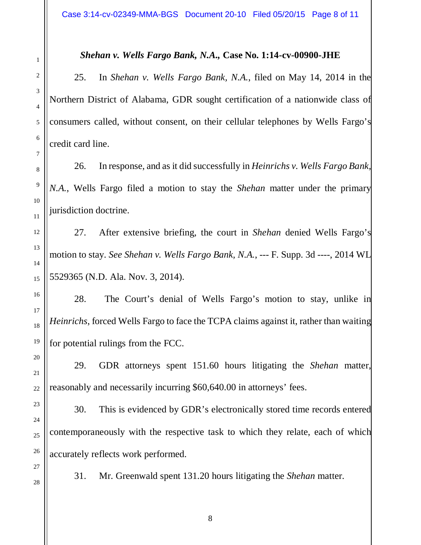## *Shehan v. Wells Fargo Bank, N.A.,* **Case No. 1:14-cv-00900-JHE**

25. In *Shehan v. Wells Fargo Bank, N.A.*, filed on May 14, 2014 in the Northern District of Alabama, GDR sought certification of a nationwide class of consumers called, without consent, on their cellular telephones by Wells Fargo's credit card line.

26. In response, and as it did successfully in *Heinrichs v. Wells Fargo Bank, N.A.*, Wells Fargo filed a motion to stay the *Shehan* matter under the primary jurisdiction doctrine.

27. After extensive briefing, the court in *Shehan* denied Wells Fargo's motion to stay. *See Shehan v. Wells Fargo Bank, N.A.*, --- F. Supp. 3d ----, 2014 WL 5529365 (N.D. Ala. Nov. 3, 2014).

28. The Court's denial of Wells Fargo's motion to stay, unlike in *Heinrichs*, forced Wells Fargo to face the TCPA claims against it, rather than waiting for potential rulings from the FCC.

29. GDR attorneys spent 151.60 hours litigating the *Shehan* matter, reasonably and necessarily incurring \$60,640.00 in attorneys' fees.

30. This is evidenced by GDR's electronically stored time records entered contemporaneously with the respective task to which they relate, each of which accurately reflects work performed.

27 28

1

2

3

4

5

6

7

8

9

10

11

12

13

14

15

16

17

18

19

20

21

22

23

24

25

26

31. Mr. Greenwald spent 131.20 hours litigating the *Shehan* matter.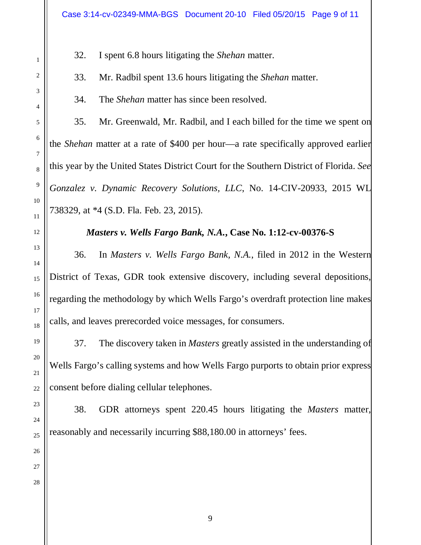32. I spent 6.8 hours litigating the *Shehan* matter.

33. Mr. Radbil spent 13.6 hours litigating the *Shehan* matter.

34. The *Shehan* matter has since been resolved.

35. Mr. Greenwald, Mr. Radbil, and I each billed for the time we spent on the *Shehan* matter at a rate of \$400 per hour—a rate specifically approved earlier this year by the United States District Court for the Southern District of Florida. *See Gonzalez v. Dynamic Recovery Solutions, LLC*, No. 14-CIV-20933, 2015 WL 738329, at \*4 (S.D. Fla. Feb. 23, 2015).

*Masters v. Wells Fargo Bank, N.A.***, Case No. 1:12-cv-00376-S**

36. In *Masters v. Wells Fargo Bank, N.A.*, filed in 2012 in the Western District of Texas, GDR took extensive discovery, including several depositions, regarding the methodology by which Wells Fargo's overdraft protection line makes calls, and leaves prerecorded voice messages, for consumers.

37. The discovery taken in *Masters* greatly assisted in the understanding of Wells Fargo's calling systems and how Wells Fargo purports to obtain prior express consent before dialing cellular telephones.

38. GDR attorneys spent 220.45 hours litigating the *Masters* matter, reasonably and necessarily incurring \$88,180.00 in attorneys' fees.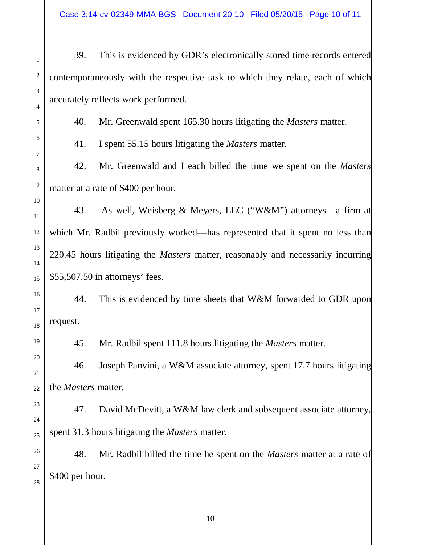39. This is evidenced by GDR's electronically stored time records entered contemporaneously with the respective task to which they relate, each of which accurately reflects work performed.

40. Mr. Greenwald spent 165.30 hours litigating the *Masters* matter.

41. I spent 55.15 hours litigating the *Masters* matter.

42. Mr. Greenwald and I each billed the time we spent on the *Masters*  matter at a rate of \$400 per hour.

43. As well, Weisberg & Meyers, LLC ("W&M") attorneys—a firm at which Mr. Radbil previously worked—has represented that it spent no less than 220.45 hours litigating the *Masters* matter, reasonably and necessarily incurring \$55,507.50 in attorneys' fees.

44. This is evidenced by time sheets that W&M forwarded to GDR upon request.

45. Mr. Radbil spent 111.8 hours litigating the *Masters* matter.

46. Joseph Panvini, a W&M associate attorney, spent 17.7 hours litigating the *Masters* matter.

47. David McDevitt, a W&M law clerk and subsequent associate attorney, spent 31.3 hours litigating the *Masters* matter.

48. Mr. Radbil billed the time he spent on the *Masters* matter at a rate of \$400 per hour.

1